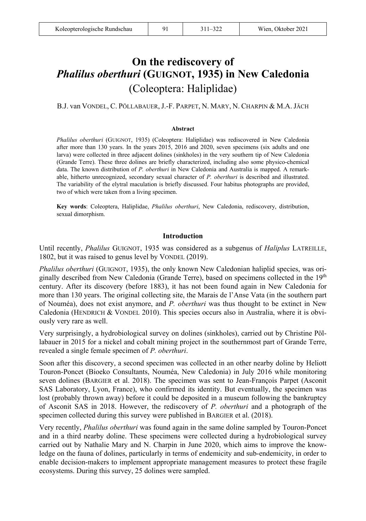# **On the rediscovery of**  *Phalilus oberthuri* **(GUIGNOT, 1935) in New Caledonia**  (Coleoptera: Haliplidae)

B.J. van VONDEL, C. PÖLLABAUER, J.-F. PARPET, N. MARY, N. CHARPIN & M.A. JÄCH

#### **Abstract**

*Phalilus oberthuri* (GUIGNOT, 1935) (Coleoptera: Haliplidae) was rediscovered in New Caledonia after more than 130 years. In the years 2015, 2016 and 2020, seven specimens (six adults and one larva) were collected in three adjacent dolines (sinkholes) in the very southern tip of New Caledonia (Grande Terre). These three dolines are briefly characterized, including also some physico-chemical data. The known distribution of *P. oberthuri* in New Caledonia and Australia is mapped. A remarkable, hitherto unrecognized, secondary sexual character of *P. oberthuri* is described and illustrated. The variability of the elytral maculation is briefly discussed. Four habitus photographs are provided, two of which were taken from a living specimen.

**Key words**: Coleoptera, Haliplidae, *Phalilus oberthuri*, New Caledonia, rediscovery, distribution, sexual dimorphism.

## **Introduction**

Until recently, *Phalilus* GUIGNOT, 1935 was considered as a subgenus of *Haliplus* LATREILLE, 1802, but it was raised to genus level by VONDEL (2019).

*Phalilus oberthuri* (GUIGNOT, 1935), the only known New Caledonian haliplid species, was originally described from New Caledonia (Grande Terre), based on specimens collected in the  $19<sup>th</sup>$ century. After its discovery (before 1883), it has not been found again in New Caledonia for more than 130 years. The original collecting site, the Marais de l'Anse Vata (in the southern part of Nouméa), does not exist anymore, and *P. oberthuri* was thus thought to be extinct in New Caledonia (HENDRICH & VONDEL 2010). This species occurs also in Australia, where it is obviously very rare as well.

Very surprisingly, a hydrobiological survey on dolines (sinkholes), carried out by Christine Pöllabauer in 2015 for a nickel and cobalt mining project in the southernmost part of Grande Terre, revealed a single female specimen of *P. oberthuri*.

Soon after this discovery, a second specimen was collected in an other nearby doline by Heliott Touron-Poncet (Bioeko Consultants, Nouméa, New Caledonia) in July 2016 while monitoring seven dolines (BARGIER et al. 2018). The specimen was sent to Jean-François Parpet (Asconit SAS Laboratory, Lyon, France), who confirmed its identity. But eventually, the specimen was lost (probably thrown away) before it could be deposited in a museum following the bankruptcy of Asconit SAS in 2018. However, the rediscovery of *P. oberthuri* and a photograph of the specimen collected during this survey were published in BARGIER et al. (2018).

Very recently, *Phalilus oberthuri* was found again in the same doline sampled by Touron-Poncet and in a third nearby doline. These specimens were collected during a hydrobiological survey carried out by Nathalie Mary and N. Charpin in June 2020, which aims to improve the knowledge on the fauna of dolines, particularly in terms of endemicity and sub-endemicity, in order to enable decision-makers to implement appropriate management measures to protect these fragile ecosystems. During this survey, 25 dolines were sampled.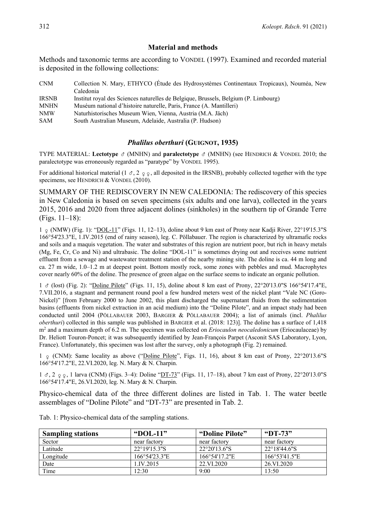# **Material and methods**

Methods and taxonomic terms are according to VONDEL (1997). Examined and recorded material is deposited in the following collections:

| <b>CNM</b>   | Collection N. Mary, ETHYCO (Étude des Hydrosystèmes Continentaux Tropicaux), Nouméa, New |  |  |
|--------------|------------------------------------------------------------------------------------------|--|--|
|              | Caledonia                                                                                |  |  |
| <b>IRSNB</b> | Institut royal des Sciences naturelles de Belgique, Brussels, Belgium (P. Limbourg)      |  |  |
| <b>MNHN</b>  | Muséum national d'histoire naturelle, Paris, France (A. Mantilleri)                      |  |  |
| <b>NMW</b>   | Naturhistorisches Museum Wien, Vienna, Austria (M.A. Jäch)                               |  |  |
| SAM          | South Australian Museum, Adelaide, Australia (P. Hudson)                                 |  |  |

# *Phalilus oberthuri* **(GUIGNOT, 1935)**

TYPE MATERIAL: **Lectotype** (MNHN) and **paralectotype** (MNHN) (see HENDRICH & VONDEL 2010; the paralectotype was erroneously regarded as "paratype" by VONDEL 1995).

For additional historical material (1  $\sigma$ , 2  $\sigma$ , all deposited in the IRSNB), probably collected together with the type specimens, see HENDRICH & VONDEL (2010).

SUMMARY OF THE REDISCOVERY IN NEW CALEDONIA: The rediscovery of this species in New Caledonia is based on seven specimens (six adults and one larva), collected in the years 2015, 2016 and 2020 from three adjacent dolines (sinkholes) in the southern tip of Grande Terre (Figs. 11–18):

 $1 \text{ g}$  (NMW) (Fig. 1): "DOL-11" (Figs. 11, 12–13), doline about 9 km east of Prony near Kadji River, 22°19'15.3"S 166°54'23.3"E, 1.IV.2015 (end of rainy season), leg. C. Pöllabauer. The region is characterized by ultramafic rocks and soils and a maquis vegetation. The water and substrates of this region are nutrient poor, but rich in heavy metals (Mg, Fe, Cr, Co and Ni) and ultrabasic. The doline "DOL-11" is sometimes drying out and receives some nutrient effluent from a sewage and wastewater treatment station of the nearby mining site. The doline is ca. 44 m long and ca. 27 m wide, 1.0–1.2 m at deepest point. Bottom mostly rock, some zones with pebbles and mud. Macrophytes cover nearly 60% of the doline. The presence of green algae on the surface seems to indicate an organic pollution.

 $1 \text{ } \sigma$  (lost) (Fig. 2): "Doline Pilote" (Figs. 11, 15), doline about 8 km east of Prony, 22°20'13.0"S 166°54'17.4"E, 7.VII.2016, a stagnant and permanent round pool a few hundred meters west of the nickel plant "Vale NC (Goro-Nickel)" [from February 2000 to June 2002, this plant discharged the supernatant fluids from the sedimentation basins (effluents from nickel extraction in an acid medium) into the "Doline Pilote", and an impact study had been conducted until 2004 (PÖLLABAUER 2003, BARGIER & PÖLLABAUER 2004); a list of animals (incl. *Phalilus oberthuri*) collected in this sample was published in BARGIER et al. (2018: 123)]. The doline has a surface of 1,418 m2 and a maximum depth of 6.2 m. The specimen was collected on *Eriocaulon neocaledonicum* (Eriocaulaceae) by Dr. Heliott Touron-Poncet; it was subsequently identified by Jean-François Parpet (Asconit SAS Laboratory, Lyon, France). Unfortunately, this specimen was lost after the survey, only a photograph (Fig. 2) remained.

 $1 \circ (CNM)$ : Same locality as above ("Doline Pilote", Figs. 11, 16), about 8 km east of Prony, 22°20'13.6"S 166°54'17.2"E, 22.VI.2020, leg. N. Mary & N. Charpin.

 $1 \text{ } \sigma$ ,  $2 \text{ } \circ \circ$ , 1 larva (CNM) (Figs. 3–4): Doline "DT-73" (Figs. 11, 17–18), about 7 km east of Prony, 22°20'13.0"S 166°54'17.4"E, 26.VI.2020, leg. N. Mary & N. Charpin.

Physico-chemical data of the three different dolines are listed in Tab. 1. The water beetle assemblages of "Doline Pilote" and "DT-73" are presented in Tab. 2.

| <b>Sampling stations</b> | "DOL-11"      | "Doline Pilote" | "DT-73"       |
|--------------------------|---------------|-----------------|---------------|
| Sector                   | near factory  | near factory    | near factory  |
| Latitude                 | 22°19'15.3"S  | 22°20'13.6"S    | 22°18'44.6"S  |
| Longitude                | 166°54'23.3"E | 166°54'17.2"E   | 166°53'41.5"E |
| Date                     | 1.IV.2015     | 22.VI.2020      | 26.VI.2020    |
| Time                     | 12:30         | 9:00            | 13:50         |

Tab. 1: Physico-chemical data of the sampling stations.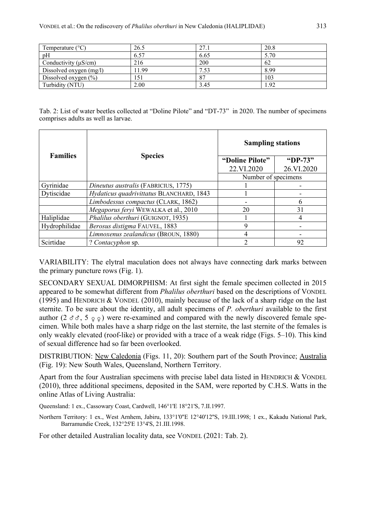| Temperature $(^{\circ}C)$ | 26.5  | 27.1 | 20.8 |
|---------------------------|-------|------|------|
| pH                        | 6.57  | 6.65 | 5.70 |
| Conductivity $(\mu S/cm)$ | 216   | 200  | 62   |
| Dissolved oxygen (mg/l)   | 11.99 |      | 8.99 |
| Dissolved oxygen $(\% )$  | 151   | 87   | 103  |
| Turbidity (NTU)           | 2.00  | 3.45 | 1.92 |

Tab. 2: List of water beetles collected at "Doline Pilote" and "DT-73" in 2020. The number of specimens comprises adults as well as larvae.

| <b>Families</b> | <b>Species</b>                           | <b>Sampling stations</b> |            |  |
|-----------------|------------------------------------------|--------------------------|------------|--|
|                 |                                          | "Doline Pilote"          | "DP-73"    |  |
|                 |                                          | 22.VI.2020               | 26.VI.2020 |  |
|                 |                                          | Number of specimens      |            |  |
| Gyrinidae       | Dineutus australis (FABRICIUS, 1775)     |                          |            |  |
| Dytiscidae      | Hydaticus quadrivittatus BLANCHARD, 1843 |                          |            |  |
|                 | Limbodessus compactus (CLARK, 1862)      |                          | 6          |  |
|                 | Megaporus feryi WEWALKA et al., 2010     | 20                       | 31         |  |
| Haliplidae      | Phalilus oberthuri (GUIGNOT, 1935)       |                          | 4          |  |
| Hydrophilidae   | Berosus distigma FAUVEL, 1883            | Q                        |            |  |
|                 | Limnoxenus zealandicus (BROUN, 1880)     | 4                        |            |  |
| Scirtidae       | ? Contacyphon sp.                        | 2                        | 92         |  |

VARIABILITY: The elytral maculation does not always have connecting dark marks between the primary puncture rows (Fig. 1).

SECONDARY SEXUAL DIMORPHISM: At first sight the female specimen collected in 2015 appeared to be somewhat different from *Phalilus oberthuri* based on the descriptions of VONDEL (1995) and HENDRICH & VONDEL (2010), mainly because of the lack of a sharp ridge on the last sternite. To be sure about the identity, all adult specimens of *P. oberthuri* available to the first author ( $2 \text{ } \sigma \sigma$ ,  $5 \text{ } \circ \text{ } \circ$ ) were re-examined and compared with the newly discovered female specimen. While both males have a sharp ridge on the last sternite, the last sternite of the females is only weakly elevated (roof-like) or provided with a trace of a weak ridge (Figs. 5–10). This kind of sexual difference had so far been overlooked.

DISTRIBUTION: <u>New Caledonia</u> (Figs. 11, 20): Southern part of the South Province; **Australia** (Fig. 19): New South Wales, Queensland, Northern Territory.

Apart from the four Australian specimens with precise label data listed in HENDRICH & VONDEL (2010), three additional specimens, deposited in the SAM, were reported by C.H.S. Watts in the online Atlas of Living Australia:

Queensland: 1 ex., Cassowary Coast, Cardwell, 146°1'E 18°21'S, 7.II.1997.

Northern Territory: 1 ex., West Arnhem, Jabiru, 133°1'0"E 12°40'12"S, 19.III.1998; 1 ex., Kakadu National Park, Barramundie Creek, 132°25'E 13°4'S, 21.III.1998.

For other detailed Australian locality data, see VONDEL (2021: Tab. 2).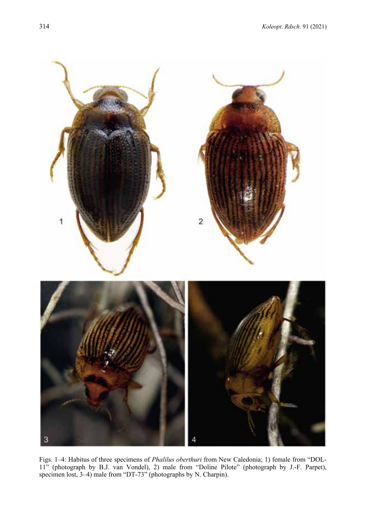

Figs. 1–4: Habitus of three specimens of *Phalilus oberthuri* from New Caledonia; 1) female from "DOL-11" (photograph by B.J. van Vondel), 2) male from "Doline Pilote" (photograph by J.-F. Parpet), specimen lost, 3–4) male from "DT-73" (photographs by N. Charpin).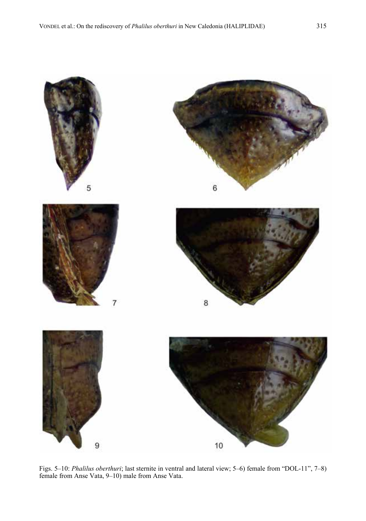

Figs. 5–10: *Phalilus oberthuri*; last sternite in ventral and lateral view; 5–6) female from "DOL-11", 7–8) female from Anse Vata, 9–10) male from Anse Vata.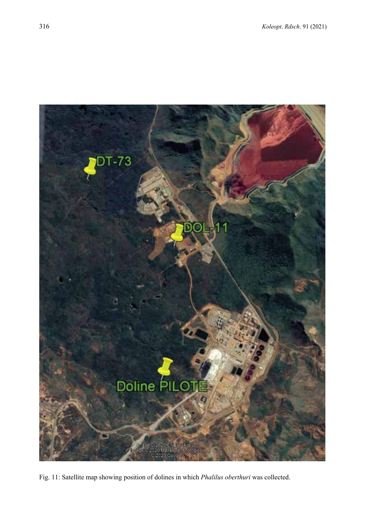

Fig. 11: Satellite map showing position of dolines in which *Phalilus oberthuri* was collected.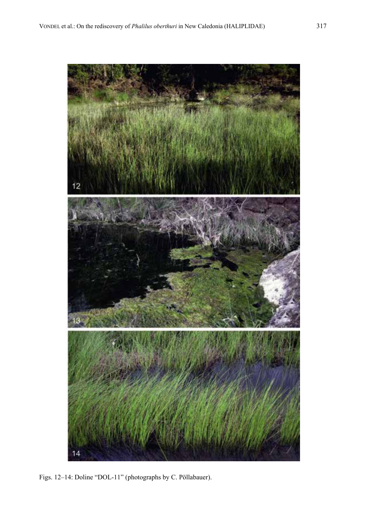

Figs. 12–14: Doline "DOL-11" (photographs by C. Pöllabauer).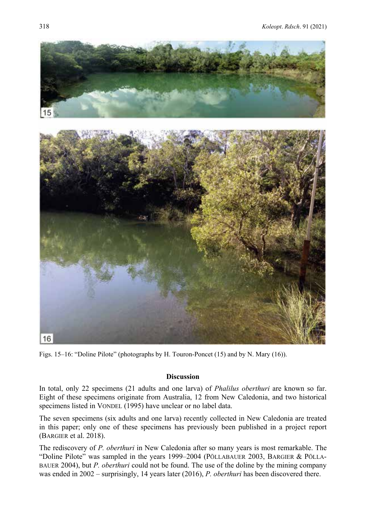

Figs. 15–16: "Doline Pilote" (photographs by H. Touron-Poncet (15) and by N. Mary (16)).

# **Discussion**

In total, only 22 specimens (21 adults and one larva) of *Phalilus oberthuri* are known so far. Eight of these specimens originate from Australia, 12 from New Caledonia, and two historical specimens listed in VONDEL (1995) have unclear or no label data.

The seven specimens (six adults and one larva) recently collected in New Caledonia are treated in this paper; only one of these specimens has previously been published in a project report (BARGIER et al. 2018).

The rediscovery of *P. oberthuri* in New Caledonia after so many years is most remarkable. The "Doline Pilote" was sampled in the years 1999–2004 (PÖLLABAUER 2003, BARGIER & PÖLLA-BAUER 2004), but *P. oberthuri* could not be found. The use of the doline by the mining company was ended in 2002 – surprisingly, 14 years later (2016), *P. oberthuri* has been discovered there.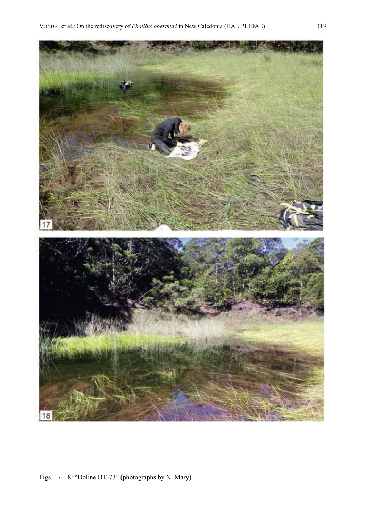

Figs. 17–18: "Doline DT-73" (photographs by N. Mary).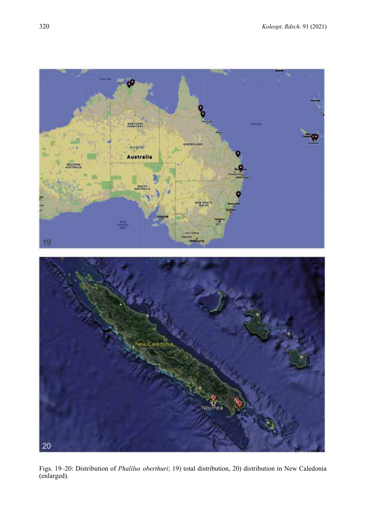

Figs. 19–20: Distribution of *Phalilus oberthuri*; 19) total distribution, 20) distribution in New Caledonia (enlarged).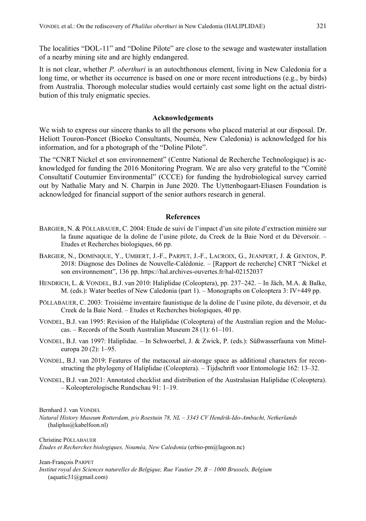The localities "DOL-11" and "Doline Pilote" are close to the sewage and wastewater installation of a nearby mining site and are highly endangered.

It is not clear, whether *P. oberthuri* is an autochthonous element, living in New Caledonia for a long time, or whether its occurrence is based on one or more recent introductions (e.g., by birds) from Australia. Thorough molecular studies would certainly cast some light on the actual distribution of this truly enigmatic species.

# **Acknowledgements**

We wish to express our sincere thanks to all the persons who placed material at our disposal. Dr. Heliott Touron-Poncet (Bioeko Consultants, Nouméa, New Caledonia) is acknowledged for his information, and for a photograph of the "Doline Pilote".

The "CNRT Nickel et son environnement" (Centre National de Recherche Technologique) is acknowledged for funding the 2016 Monitoring Program. We are also very grateful to the "Comité Consultatif Coutumier Environmental" (CCCE) for funding the hydrobiological survey carried out by Nathalie Mary and N. Charpin in June 2020. The Uyttenbogaart-Eliasen Foundation is acknowledged for financial support of the senior authors research in general.

# **References**

- BARGIER, N. & PÖLLABAUER, C. 2004: Etude de suivi de l'impact d'un site pilote d'extraction minière sur la faune aquatique de la doline de l'usine pilote, du Creek de la Baie Nord et du Déversoir. – Etudes et Recherches biologiques, 66 pp.
- BARGIER, N., DOMINIQUE, Y., UMBERT, J.-F., PARPET, J.-F., LACROIX, G., JEANPERT, J. & GENTON, P. 2018: Diagnose des Dolines de Nouvelle-Calédonie. – [Rapport de recherche] CNRT "Nickel et son environnement", 136 pp. https://hal.archives-ouvertes.fr/hal-02152037
- HENDRICH, L. & VONDEL, B.J. van 2010: Haliplidae (Coleoptera), pp. 237–242. In Jäch, M.A. & Balke, M. (eds.): Water beetles of New Caledonia (part 1). – Monographs on Coleoptera 3: IV+449 pp.
- PÖLLABAUER, C. 2003: Troisième inventaire faunistique de la doline de l'usine pilote, du déversoir, et du Creek de la Baie Nord. – Etudes et Recherches biologiques, 40 pp.
- VONDEL, B.J. van 1995: Revision of the Haliplidae (Coleoptera) of the Australian region and the Moluccas. – Records of the South Australian Museum 28 (1): 61–101.
- VONDEL, B.J. van 1997: Haliplidae. In Schwoerbel, J. & Zwick, P. (eds.): Süßwasserfauna von Mitteleuropa 20 (2): 1–95.
- VONDEL, B.J. van 2019: Features of the metacoxal air-storage space as additional characters for reconstructing the phylogeny of Haliplidae (Coleoptera). – Tijdschrift voor Entomologie 162: 13–32.
- VONDEL, B.J. van 2021: Annotated checklist and distribution of the Australasian Haliplidae (Coleoptera). – Koleopterologische Rundschau 91: 1–19.

Bernhard J. van VONDEL

*Natural History Museum Rotterdam, p/o Roestuin 78, NL – 3343 CV Hendrik-Ido-Ambacht, Netherlands* (haliplus@kabelfoon.nl)

Christine PÖLLABAUER *Études et Recherches biologiques, Nouméa, New Caledonia* (erbio-pm@lagoon.nc)

### Jean-François PARPET

*Institut royal des Sciences naturelles de Belgique, Rue Vautier 29, B – 1000 Brussels, Belgium* (aquatic31@gmail.com)